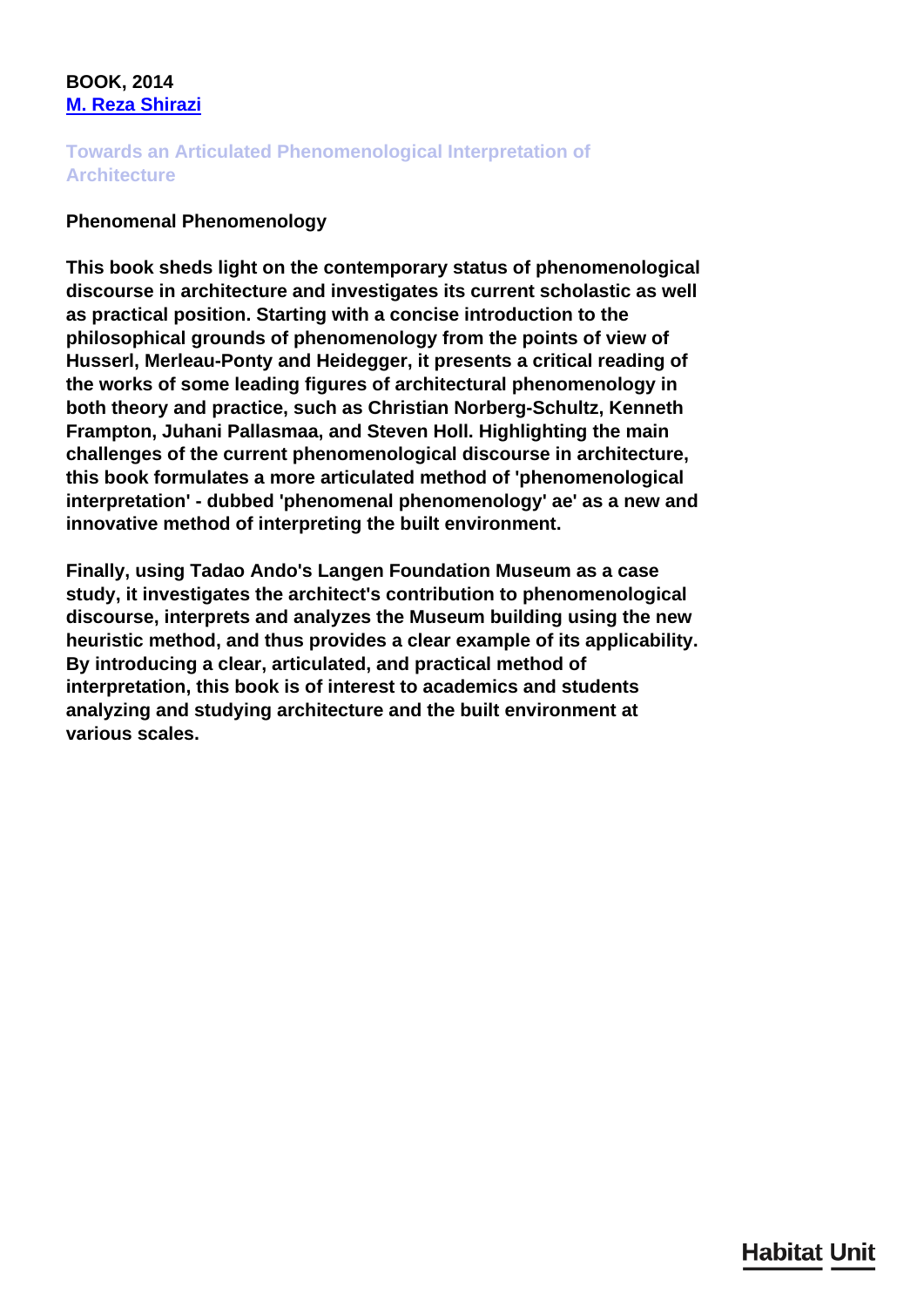## **BOOK, 2014 [M. Reza Shirazi](/en/team/reza-shirazi/)**

## **Towards an Articulated Phenomenological Interpretation of Architecture**

## **Phenomenal Phenomenology**

**This book sheds light on the contemporary status of phenomenological discourse in architecture and investigates its current scholastic as well as practical position. Starting with a concise introduction to the philosophical grounds of phenomenology from the points of view of Husserl, Merleau-Ponty and Heidegger, it presents a critical reading of the works of some leading figures of architectural phenomenology in both theory and practice, such as Christian Norberg-Schultz, Kenneth Frampton, Juhani Pallasmaa, and Steven Holl. Highlighting the main challenges of the current phenomenological discourse in architecture, this book formulates a more articulated method of 'phenomenological interpretation' - dubbed 'phenomenal phenomenology' ae' as a new and innovative method of interpreting the built environment.** 

**Finally, using Tadao Ando's Langen Foundation Museum as a case study, it investigates the architect's contribution to phenomenological discourse, interprets and analyzes the Museum building using the new heuristic method, and thus provides a clear example of its applicability. By introducing a clear, articulated, and practical method of interpretation, this book is of interest to academics and students analyzing and studying architecture and the built environment at various scales.**